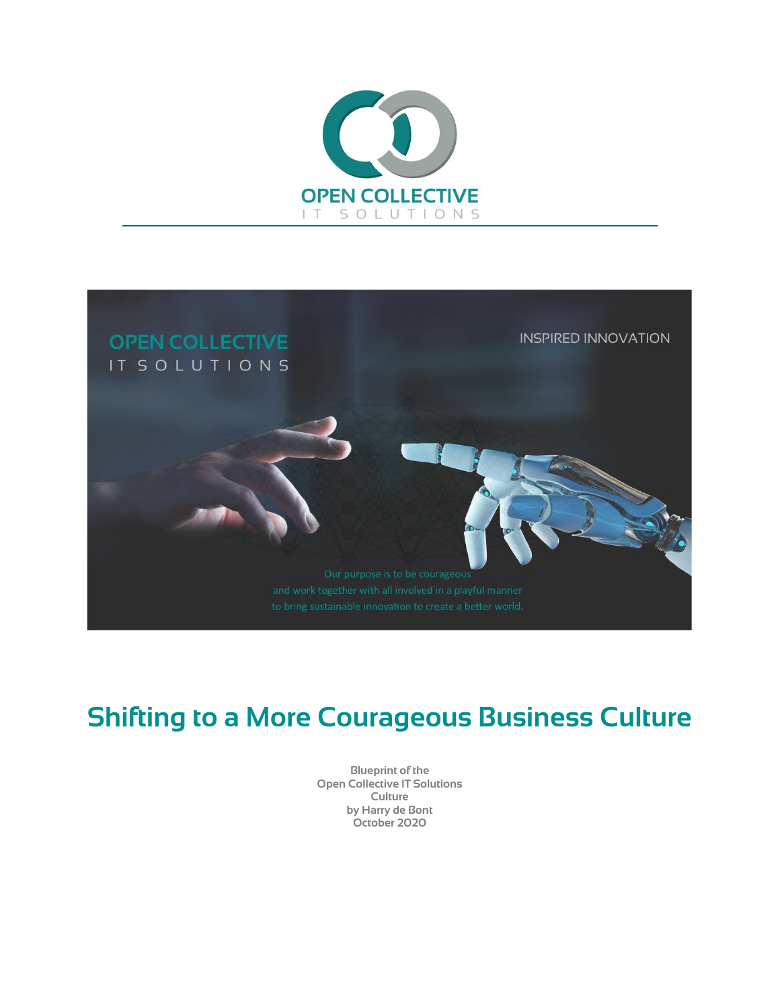



# **Shifting to a More Courageous Business Culture**

**Blueprint of the Open Collective IT Solutions Culture by Harry de Bont October 2020**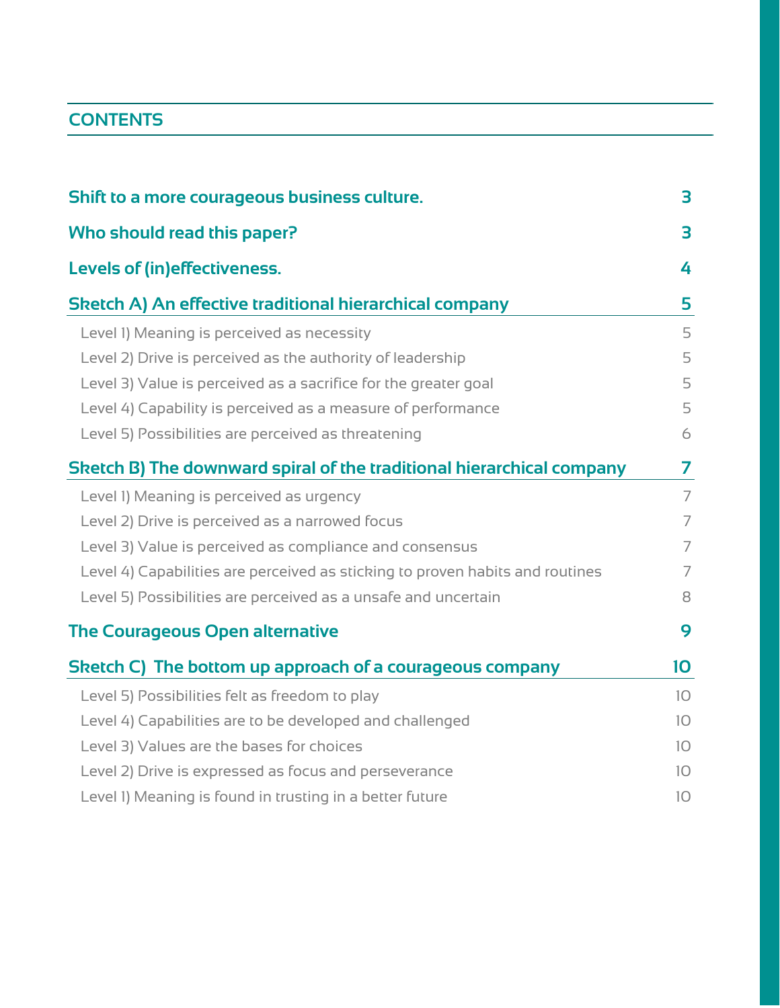# **CONTENTS**

| Shift to a more courageous business culture.                                  | 3              |
|-------------------------------------------------------------------------------|----------------|
| Who should read this paper?                                                   | 3              |
| <b>Levels of (in)effectiveness.</b>                                           | 4              |
| Sketch A) An effective traditional hierarchical company                       | 5              |
| Level 1) Meaning is perceived as necessity                                    | 5              |
| Level 2) Drive is perceived as the authority of leadership                    | 5              |
| Level 3) Value is perceived as a sacrifice for the greater goal               | 5              |
| Level 4) Capability is perceived as a measure of performance                  | 5              |
| Level 5) Possibilities are perceived as threatening                           | 6              |
| Sketch B) The downward spiral of the traditional hierarchical company         | 7              |
| Level I) Meaning is perceived as urgency                                      | $\overline{7}$ |
| Level 2) Drive is perceived as a narrowed focus                               | $\overline{7}$ |
| Level 3) Value is perceived as compliance and consensus                       | $\overline{7}$ |
| Level 4) Capabilities are perceived as sticking to proven habits and routines | $\overline{7}$ |
| Level 5) Possibilities are perceived as a unsafe and uncertain                | 8              |
| <b>The Courageous Open alternative</b>                                        | 9              |
| Sketch C) The bottom up approach of a courageous company                      | 10             |
| Level 5) Possibilities felt as freedom to play                                | 10             |
| Level 4) Capabilities are to be developed and challenged                      | 10             |
| Level 3) Values are the bases for choices                                     | 10             |
| Level 2) Drive is expressed as focus and perseverance                         | 10             |
| Level 1) Meaning is found in trusting in a better future                      | 10             |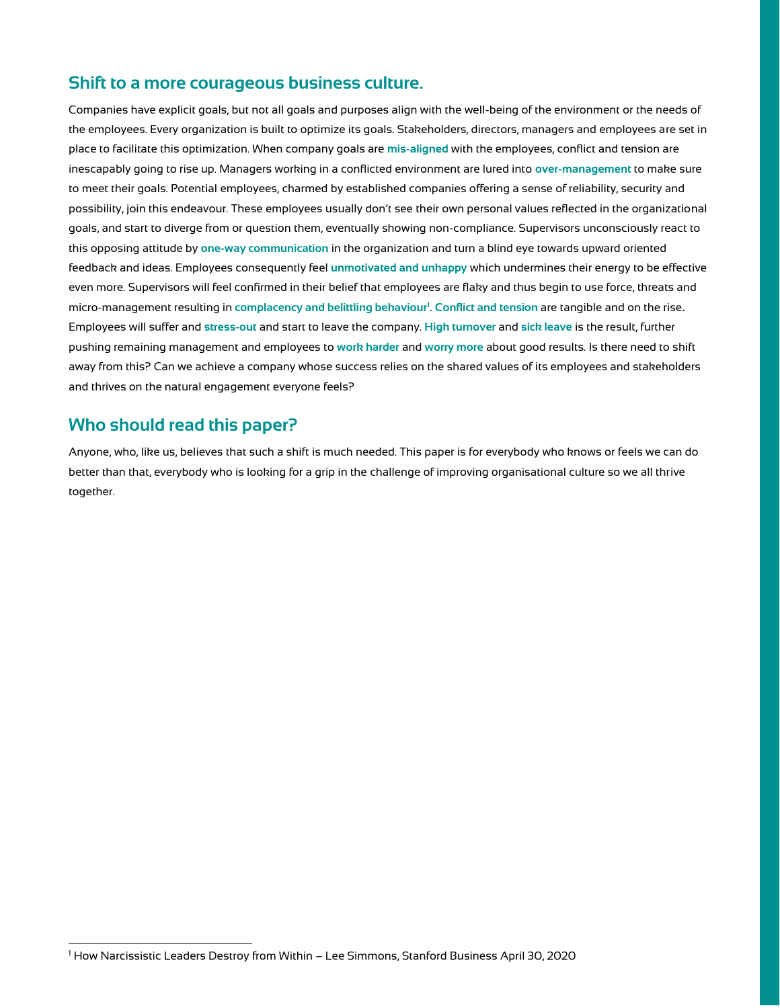## <span id="page-2-0"></span>**Shift to a more courageous business culture.**

Companies have explicit goals, but not all goals and purposes align with the well-being of the environment or the needs of the employees. Every organization is built to optimize its goals. Stakeholders, directors, managers and employees are set in place to facilitate this optimization. When company goals are **mis-aligned** with the employees, conflict and tension are inescapably going to rise up. Managers working in a conflicted environment are lured into **over-management** to make sure to meet their goals. Potential employees, charmed by established companies offering a sense of reliability, security and possibility, join this endeavour. These employees usually don't see their own personal values reflected in the organizational goals, and start to diverge from or question them, eventually showing non-compliance. Supervisors unconsciously react to this opposing attitude by **one-way communication** in the organization and turn a blind eye towards upward oriented feedback and ideas. Employees consequently feel **unmotivated and unhappy** which undermines their energy to be effective even more. Supervisors will feel confirmed in their belief that employees are flaky and thus begin to use force, threats and micro-management resulting in **complacency and belittling behaviour<sup>1</sup> . Conflict and tension** are tangible and on the rise**.**  Employees will suffer and **stress-out** and start to leave the company. **High turnover** and **sick leave** is the result, further pushing remaining management and employees to **work harder** and **worry more** about good results. Is there need to shift away from this? Can we achieve a company whose success relies on the shared values of its employees and stakeholders and thrives on the natural engagement everyone feels?

## <span id="page-2-1"></span>**Who should read this paper?**

Anyone, who, like us, believes that such a shift is much needed. This paper is for everybody who knows or feels we can do better than that, everybody who is looking for a grip in the challenge of improving organisational culture so we all thrive together.

<sup>1</sup> How Narcissistic Leaders Destroy from Within – Lee Simmons, Stanford Business April 30, 2020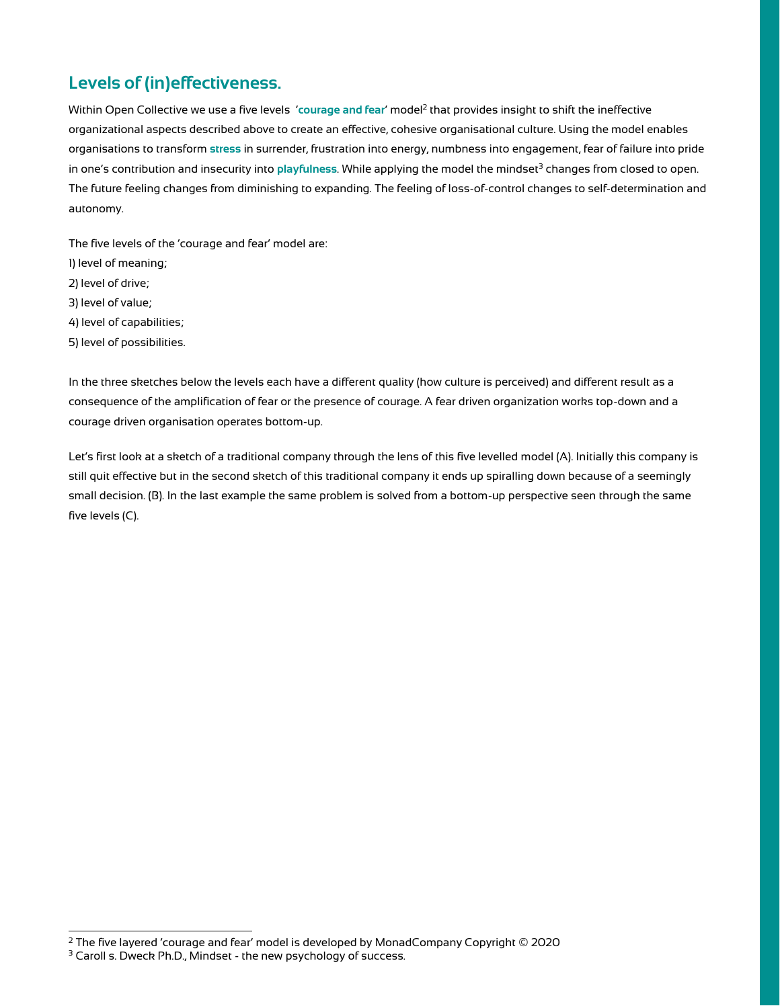# <span id="page-3-0"></span>**Levels of (in)effectiveness.**

Within Open Collective we use a five levels *'courage and fear' model<sup>2</sup> that provides insight to shift the ineffective* organizational aspects described above to create an effective, cohesive organisational culture. Using the model enables organisations to transform **stress** in surrender, frustration into energy, numbness into engagement, fear of failure into pride in one's contribution and insecurity into playfulness. While applying the model the mindset<sup>3</sup> changes from closed to open. The future feeling changes from diminishing to expanding. The feeling of loss-of-control changes to self-determination and autonomy.

The five levels of the 'courage and fear' model are:

- 1) level of meaning;
- 2) level of drive;
- 3) level of value;
- 4) level of capabilities;
- 5) level of possibilities.

In the three sketches below the levels each have a different quality (how culture is perceived) and different result as a consequence of the amplification of fear or the presence of courage. A fear driven organization works top-down and a courage driven organisation operates bottom-up.

Let's first look at a sketch of a traditional company through the lens of this five levelled model (A). Initially this company is still quit effective but in the second sketch of this traditional company it ends up spiralling down because of a seemingly small decision. (B). In the last example the same problem is solved from a bottom-up perspective seen through the same five levels (C).

 $2$  The five layered 'courage and fear' model is developed by MonadCompany Copyright  $@$  2020

<sup>&</sup>lt;sup>3</sup> Caroll s. Dweck Ph.D., Mindset - the new psychology of success.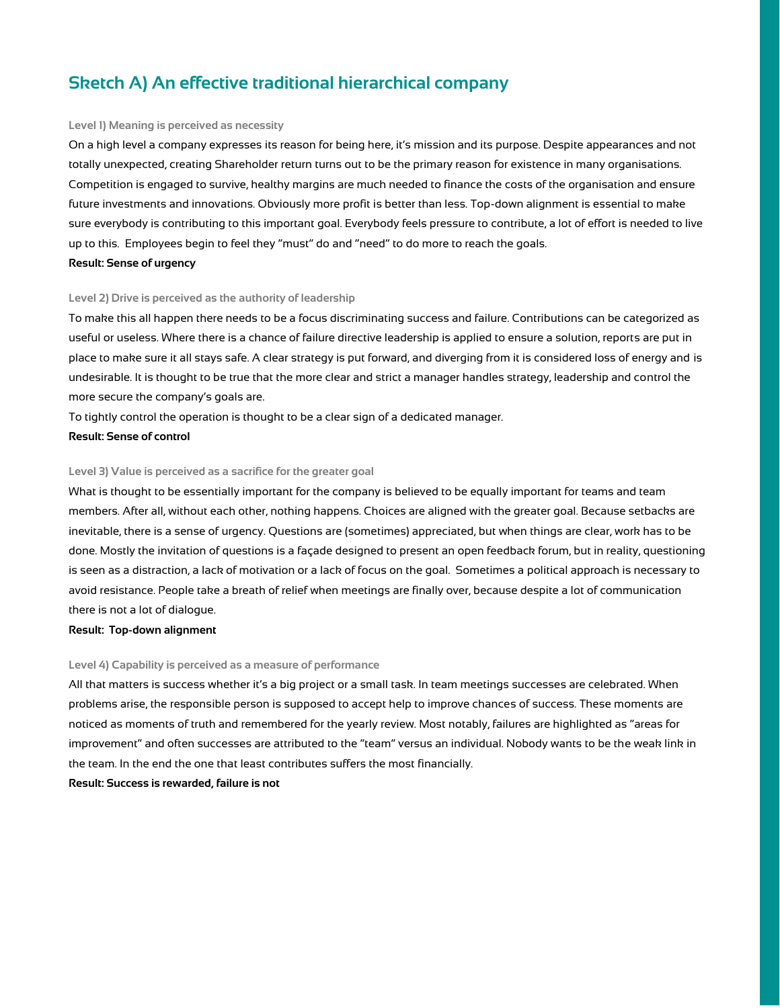# <span id="page-4-0"></span>**Sketch A) An effective traditional hierarchical company**

#### <span id="page-4-1"></span>**Level 1) Meaning is perceived as necessity**

On a high level a company expresses its reason for being here, it's mission and its purpose. Despite appearances and not totally unexpected, creating Shareholder return turns out to be the primary reason for existence in many organisations. Competition is engaged to survive, healthy margins are much needed to finance the costs of the organisation and ensure future investments and innovations. Obviously more profit is better than less. Top-down alignment is essential to make sure everybody is contributing to this important goal. Everybody feels pressure to contribute, a lot of effort is needed to live up to this. Employees begin to feel they "must" do and "need" to do more to reach the goals.

#### **Result: Sense of urgency**

#### <span id="page-4-2"></span>**Level 2) Drive is perceived as the authority of leadership**

To make this all happen there needs to be a focus discriminating success and failure. Contributions can be categorized as useful or useless. Where there is a chance of failure directive leadership is applied to ensure a solution, reports are put in place to make sure it all stays safe. A clear strategy is put forward, and diverging from it is considered loss of energy and is undesirable. It is thought to be true that the more clear and strict a manager handles strategy, leadership and control the more secure the company's goals are.

To tightly control the operation is thought to be a clear sign of a dedicated manager.

#### **Result: Sense of control**

#### <span id="page-4-3"></span>**Level 3) Value is perceived as a sacrifice for the greater goal**

What is thought to be essentially important for the company is believed to be equally important for teams and team members. After all, without each other, nothing happens. Choices are aligned with the greater goal. Because setbacks are inevitable, there is a sense of urgency. Questions are (sometimes) appreciated, but when things are clear, work has to be done. Mostly the invitation of questions is a façade designed to present an open feedback forum, but in reality, questioning is seen as a distraction, a lack of motivation or a lack of focus on the goal. Sometimes a political approach is necessary to avoid resistance. People take a breath of relief when meetings are finally over, because despite a lot of communication there is not a lot of dialogue.

#### **Result: Top-down alignment**

#### <span id="page-4-4"></span>**Level 4) Capability is perceived as a measure of performance**

All that matters is success whether it's a big project or a small task. In team meetings successes are celebrated. When problems arise, the responsible person is supposed to accept help to improve chances of success. These moments are noticed as moments of truth and remembered for the yearly review. Most notably, failures are highlighted as "areas for improvement" and often successes are attributed to the "team" versus an individual. Nobody wants to be the weak link in the team. In the end the one that least contributes suffers the most financially.

#### **Result: Success is rewarded, failure is not**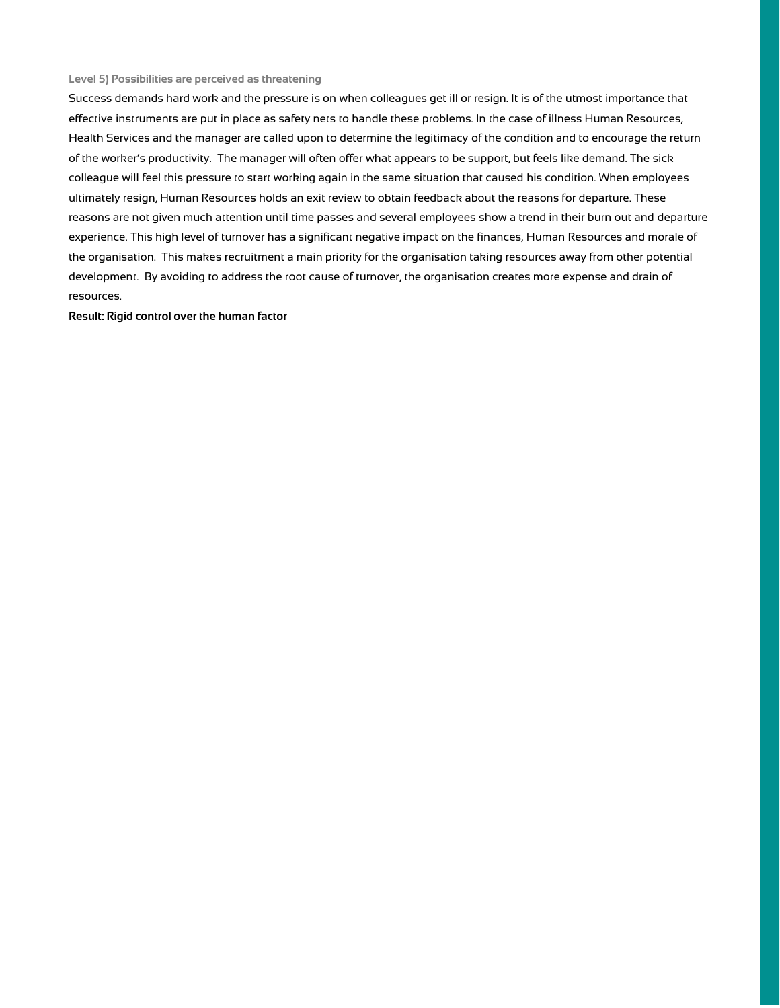#### <span id="page-5-0"></span>**Level 5) Possibilities are perceived as threatening**

Success demands hard work and the pressure is on when colleagues get ill or resign. It is of the utmost importance that effective instruments are put in place as safety nets to handle these problems. In the case of illness Human Resources, Health Services and the manager are called upon to determine the legitimacy of the condition and to encourage the return of the worker's productivity. The manager will often offer what appears to be support, but feels like demand. The sick colleague will feel this pressure to start working again in the same situation that caused his condition. When employees ultimately resign, Human Resources holds an exit review to obtain feedback about the reasons for departure. These reasons are not given much attention until time passes and several employees show a trend in their burn out and departure experience. This high level of turnover has a significant negative impact on the finances, Human Resources and morale of the organisation. This makes recruitment a main priority for the organisation taking resources away from other potential development. By avoiding to address the root cause of turnover, the organisation creates more expense and drain of resources.

#### **Result: Rigid control over the human factor**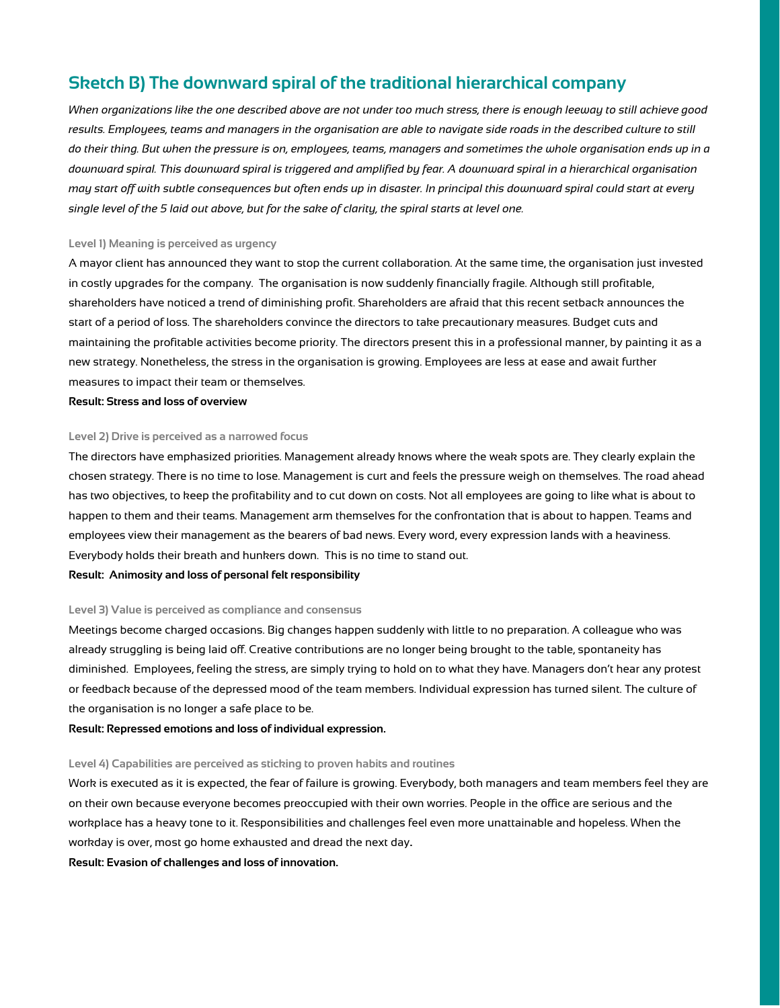### <span id="page-6-0"></span>**Sketch B) The downward spiral of the traditional hierarchical company**

*When organizations like the one described above are not under too much stress, there is enough leeway to still achieve good results. Employees, teams and managers in the organisation are able to navigate side roads in the described culture to still do their thing. But when the pressure is on, employees, teams, managers and sometimes the whole organisation ends up in a downward spiral. This downward spiral is triggered and amplified by fear. A downward spiral in a hierarchical organisation may start off with subtle consequences but often ends up in disaster. In principal this downward spiral could start at every single level of the 5 laid out above, but for the sake of clarity, the spiral starts at level one.*

#### <span id="page-6-1"></span>**Level 1) Meaning is perceived as urgency**

A mayor client has announced they want to stop the current collaboration. At the same time, the organisation just invested in costly upgrades for the company. The organisation is now suddenly financially fragile. Although still profitable, shareholders have noticed a trend of diminishing profit. Shareholders are afraid that this recent setback announces the start of a period of loss. The shareholders convince the directors to take precautionary measures. Budget cuts and maintaining the profitable activities become priority. The directors present this in a professional manner, by painting it as a new strategy. Nonetheless, the stress in the organisation is growing. Employees are less at ease and await further measures to impact their team or themselves.

#### **Result: Stress and loss of overview**

#### <span id="page-6-2"></span>**Level 2) Drive is perceived as a narrowed focus**

The directors have emphasized priorities. Management already knows where the weak spots are. They clearly explain the chosen strategy. There is no time to lose. Management is curt and feels the pressure weigh on themselves. The road ahead has two objectives, to keep the profitability and to cut down on costs. Not all employees are going to like what is about to happen to them and their teams. Management arm themselves for the confrontation that is about to happen. Teams and employees view their management as the bearers of bad news. Every word, every expression lands with a heaviness. Everybody holds their breath and hunkers down. This is no time to stand out.

#### **Result: Animosity and loss of personal felt responsibility**

#### <span id="page-6-3"></span>**Level 3) Value is perceived as compliance and consensus**

Meetings become charged occasions. Big changes happen suddenly with little to no preparation. A colleague who was already struggling is being laid off. Creative contributions are no longer being brought to the table, spontaneity has diminished. Employees, feeling the stress, are simply trying to hold on to what they have. Managers don't hear any protest or feedback because of the depressed mood of the team members. Individual expression has turned silent. The culture of the organisation is no longer a safe place to be.

**Result: Repressed emotions and loss of individual expression.**

#### <span id="page-6-4"></span>**Level 4) Capabilities are perceived as sticking to proven habits and routines**

Work is executed as it is expected, the fear of failure is growing. Everybody, both managers and team members feel they are on their own because everyone becomes preoccupied with their own worries. People in the office are serious and the workplace has a heavy tone to it. Responsibilities and challenges feel even more unattainable and hopeless. When the workday is over, most go home exhausted and dread the next day**.**

**Result: Evasion of challenges and loss of innovation.**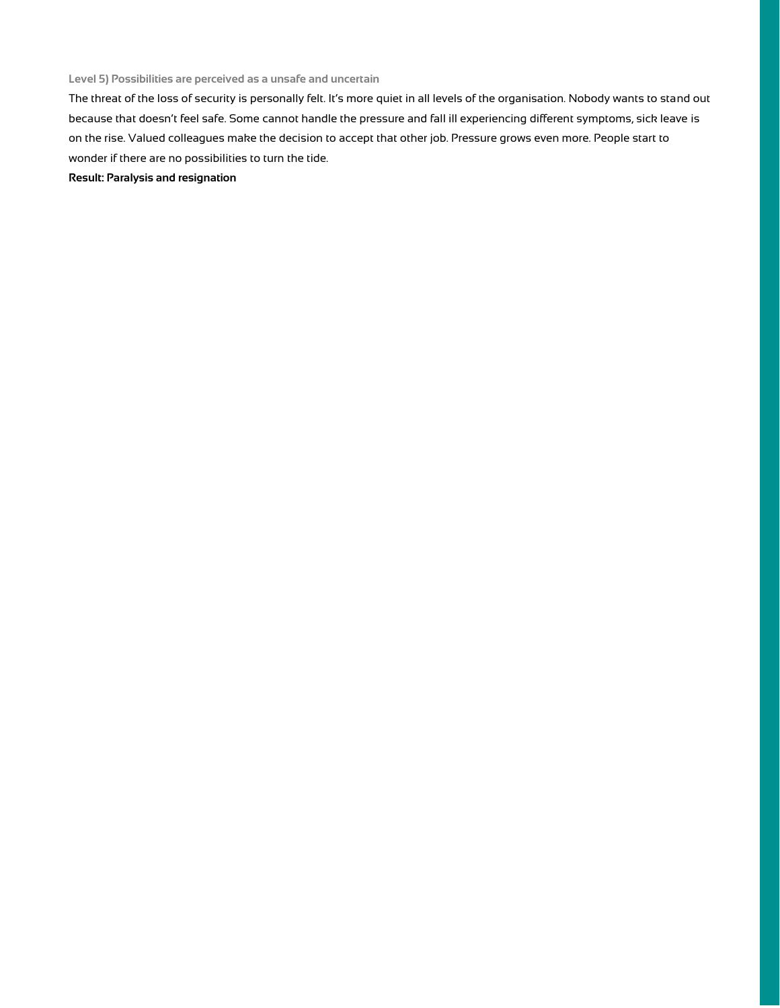<span id="page-7-0"></span>**Level 5) Possibilities are perceived as a unsafe and uncertain**

The threat of the loss of security is personally felt. It's more quiet in all levels of the organisation. Nobody wants to stand out because that doesn't feel safe. Some cannot handle the pressure and fall ill experiencing different symptoms, sick leave is on the rise. Valued colleagues make the decision to accept that other job. Pressure grows even more. People start to wonder if there are no possibilities to turn the tide.

**Result: Paralysis and resignation**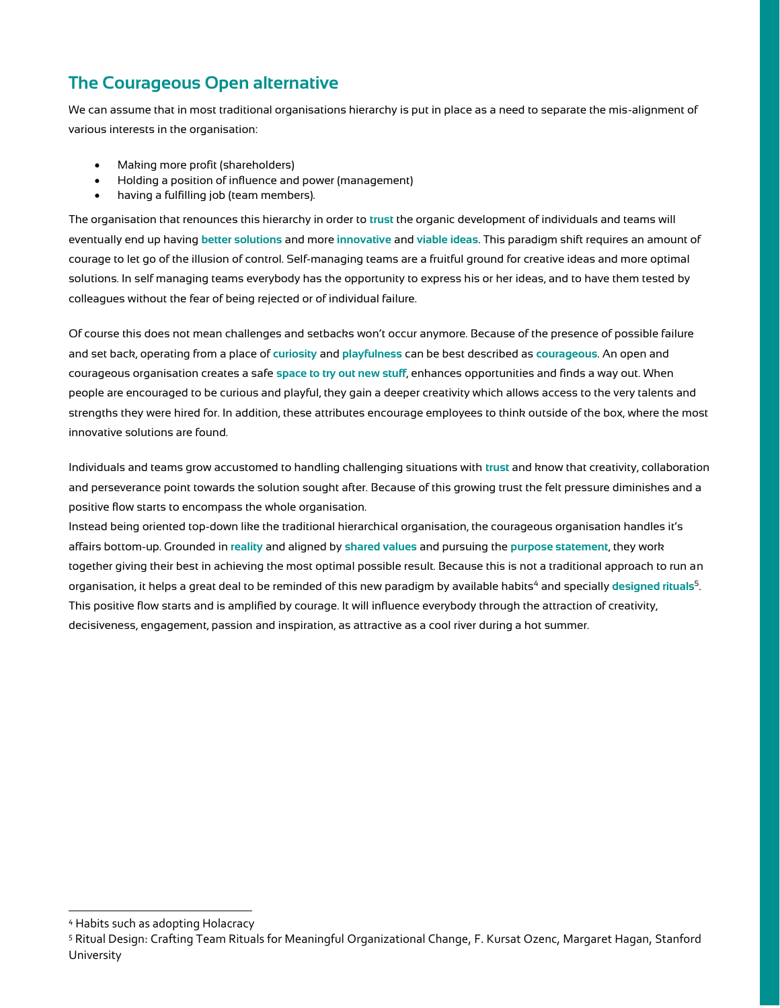# <span id="page-8-0"></span>**The Courageous Open alternative**

We can assume that in most traditional organisations hierarchy is put in place as a need to separate the mis-alignment of various interests in the organisation:

- Making more profit (shareholders)
- Holding a position of influence and power (management)
- having a fulfilling job (team members).

The organisation that renounces this hierarchy in order to **trust** the organic development of individuals and teams will eventually end up having **better solutions** and more **innovative** and **viable ideas**. This paradigm shift requires an amount of courage to let go of the illusion of control. Self-managing teams are a fruitful ground for creative ideas and more optimal solutions. In self managing teams everybody has the opportunity to express his or her ideas, and to have them tested by colleagues without the fear of being rejected or of individual failure.

Of course this does not mean challenges and setbacks won't occur anymore. Because of the presence of possible failure and set back, operating from a place of **curiosity** and **playfulness** can be best described as **courageous**. An open and courageous organisation creates a safe **space to try out new stuff**, enhances opportunities and finds a way out. When people are encouraged to be curious and playful, they gain a deeper creativity which allows access to the very talents and strengths they were hired for. In addition, these attributes encourage employees to think outside of the box, where the most innovative solutions are found.

Individuals and teams grow accustomed to handling challenging situations with **trust** and know that creativity, collaboration and perseverance point towards the solution sought after. Because of this growing trust the felt pressure diminishes and a positive flow starts to encompass the whole organisation.

Instead being oriented top-down like the traditional hierarchical organisation, the courageous organisation handles it's affairs bottom-up. Grounded in **reality** and aligned by **shared values** and pursuing the **purpose statement**, they work together giving their best in achieving the most optimal possible result. Because this is not a traditional approach to run an organisation, it helps a great deal to be reminded of this new paradigm by available habits<sup>4</sup> and specially designed rituals<sup>5</sup>. This positive flow starts and is amplified by courage. It will influence everybody through the attraction of creativity, decisiveness, engagement, passion and inspiration, as attractive as a cool river during a hot summer.

<sup>4</sup> Habits such as adopting Holacracy

<sup>5</sup> Ritual Design: Crafting Team Rituals for Meaningful Organizational Change, F. Kursat Ozenc, Margaret Hagan, Stanford University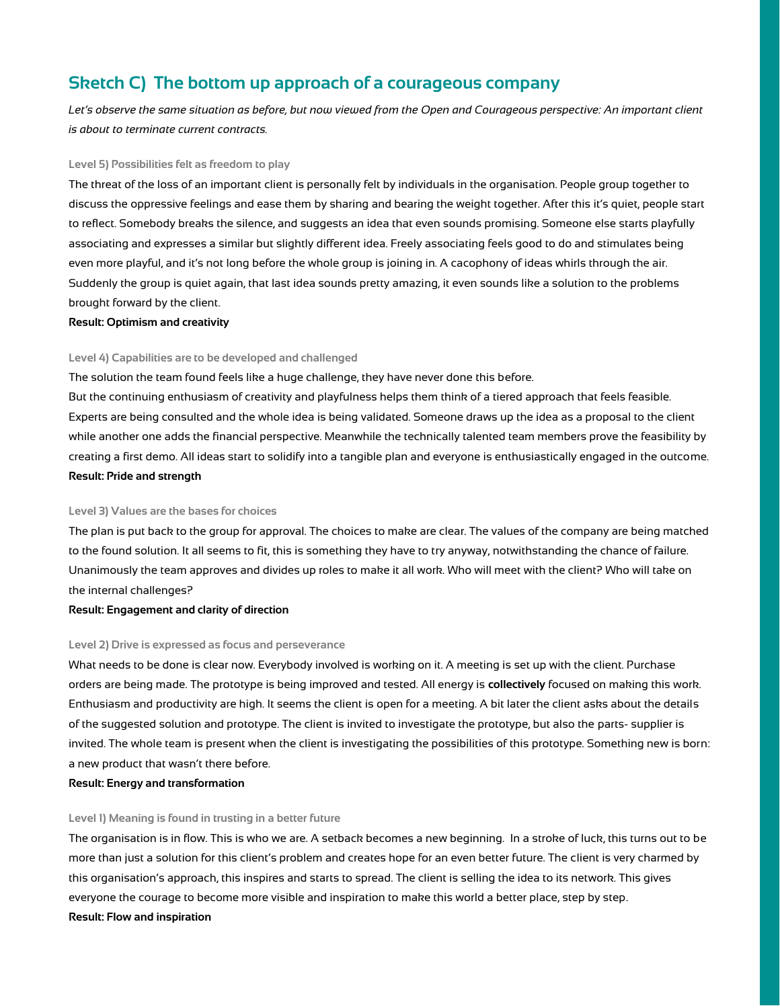# <span id="page-9-0"></span>**Sketch C) The bottom up approach of a courageous company**

Let's observe the same situation as before, but now viewed from the Open and Courageous perspective: An important client *is about to terminate current contracts.*

#### <span id="page-9-1"></span>**Level 5) Possibilities felt as freedom to play**

The threat of the loss of an important client is personally felt by individuals in the organisation. People group together to discuss the oppressive feelings and ease them by sharing and bearing the weight together. After this it's quiet, people start to reflect. Somebody breaks the silence, and suggests an idea that even sounds promising. Someone else starts playfully associating and expresses a similar but slightly different idea. Freely associating feels good to do and stimulates being even more playful, and it's not long before the whole group is joining in. A cacophony of ideas whirls through the air. Suddenly the group is quiet again, that last idea sounds pretty amazing, it even sounds like a solution to the problems brought forward by the client.

#### **Result: Optimism and creativity**

#### <span id="page-9-2"></span>**Level 4) Capabilities are to be developed and challenged**

The solution the team found feels like a huge challenge, they have never done this before.

But the continuing enthusiasm of creativity and playfulness helps them think of a tiered approach that feels feasible. Experts are being consulted and the whole idea is being validated. Someone draws up the idea as a proposal to the client while another one adds the financial perspective. Meanwhile the technically talented team members prove the feasibility by creating a first demo. All ideas start to solidify into a tangible plan and everyone is enthusiastically engaged in the outcome. **Result: Pride and strength**

#### <span id="page-9-3"></span>**Level 3) Values are the bases for choices**

The plan is put back to the group for approval. The choices to make are clear. The values of the company are being matched to the found solution. It all seems to fit, this is something they have to try anyway, notwithstanding the chance of failure. Unanimously the team approves and divides up roles to make it all work. Who will meet with the client? Who will take on the internal challenges?

#### **Result: Engagement and clarity of direction**

#### <span id="page-9-4"></span>**Level 2) Drive is expressed as focus and perseverance**

What needs to be done is clear now. Everybody involved is working on it. A meeting is set up with the client. Purchase orders are being made. The prototype is being improved and tested. All energy is **collectively** focused on making this work. Enthusiasm and productivity are high. It seems the client is open for a meeting. A bit later the client asks about the details of the suggested solution and prototype. The client is invited to investigate the prototype, but also the parts- supplier is invited. The whole team is present when the client is investigating the possibilities of this prototype. Something new is born: a new product that wasn't there before.

#### **Result: Energy and transformation**

#### <span id="page-9-5"></span>**Level 1) Meaning is found in trusting in a better future**

The organisation is in flow. This is who we are. A setback becomes a new beginning. In a stroke of luck, this turns out to be more than just a solution for this client's problem and creates hope for an even better future. The client is very charmed by this organisation's approach, this inspires and starts to spread. The client is selling the idea to its network. This gives everyone the courage to become more visible and inspiration to make this world a better place, step by step. **Result: Flow and inspiration**